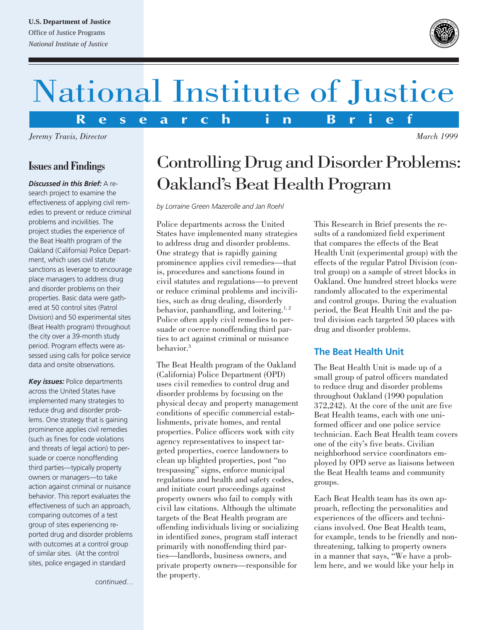#### **U.S. Department of Justice**

Office of Justice Programs *National Institute of Justice*



# National Institute of Justice

**R e s e a r c h i n B r i e f**

*Jeremy Travis, Director*

#### **Issues and Findings**

*Discussed in this Brief:* A research project to examine the effectiveness of applying civil remedies to prevent or reduce criminal problems and incivilities. The project studies the experience of the Beat Health program of the Oakland (California) Police Department, which uses civil statute sanctions as leverage to encourage place managers to address drug and disorder problems on their properties. Basic data were gathered at 50 control sites (Patrol Division) and 50 experimental sites (Beat Health program) throughout the city over a 39-month study period. Program effects were assessed using calls for police service data and onsite observations.

*Key issues:* Police departments across the United States have implemented many strategies to reduce drug and disorder problems. One strategy that is gaining prominence applies civil remedies (such as fines for code violations and threats of legal action) to persuade or coerce nonoffending third parties—typically property owners or managers—to take action against criminal or nuisance behavior. This report evaluates the effectiveness of such an approach, comparing outcomes of a test group of sites experiencing reported drug and disorder problems with outcomes at a control group of similar sites. (At the control sites, police engaged in standard

*continued…*

## Controlling Drug and Disorder Problems: Oakland's Beat Health Program

*by Lorraine Green Mazerolle and Jan Roehl*

Police departments across the United States have implemented many strategies to address drug and disorder problems. One strategy that is rapidly gaining prominence applies civil remedies—that is, procedures and sanctions found in civil statutes and regulations—to prevent or reduce criminal problems and incivilities, such as drug dealing, disorderly behavior, panhandling, and loitering.<sup>1, 2</sup> Police often apply civil remedies to persuade or coerce nonoffending third parties to act against criminal or nuisance behavior.3

The Beat Health program of the Oakland (California) Police Department (OPD) uses civil remedies to control drug and disorder problems by focusing on the physical decay and property management conditions of specific commercial establishments, private homes, and rental properties. Police officers work with city agency representatives to inspect targeted properties, coerce landowners to clean up blighted properties, post "no trespassing" signs, enforce municipal regulations and health and safety codes, and initiate court proceedings against property owners who fail to comply with civil law citations. Although the ultimate targets of the Beat Health program are offending individuals living or socializing in identified zones, program staff interact primarily with nonoffending third parties—landlords, business owners, and private property owners—responsible for the property.

This Research in Brief presents the results of a randomized field experiment that compares the effects of the Beat Health Unit (experimental group) with the effects of the regular Patrol Division (control group) on a sample of street blocks in Oakland. One hundred street blocks were randomly allocated to the experimental and control groups. During the evaluation period, the Beat Health Unit and the patrol division each targeted 50 places with drug and disorder problems.

#### **The Beat Health Unit**

The Beat Health Unit is made up of a small group of patrol officers mandated to reduce drug and disorder problems throughout Oakland (1990 population 372,242). At the core of the unit are five Beat Health teams, each with one uniformed officer and one police service technician. Each Beat Health team covers one of the city's five beats. Civilian neighborhood service coordinators employed by OPD serve as liaisons between the Beat Health teams and community groups.

Each Beat Health team has its own approach, reflecting the personalities and experiences of the officers and technicians involved. One Beat Health team, for example, tends to be friendly and nonthreatening, talking to property owners in a manner that says, "We have a problem here, and we would like your help in

*March 1999*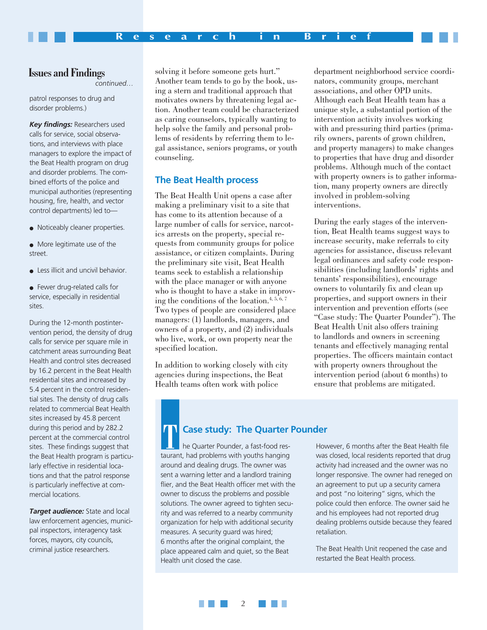#### **Issues and Findings**

*continued…*

patrol responses to drug and disorder problems.)

*Key findings:* Researchers used calls for service, social observations, and interviews with place managers to explore the impact of the Beat Health program on drug and disorder problems. The combined efforts of the police and municipal authorities (representing housing, fire, health, and vector control departments) led to—

- Noticeably cleaner properties.
- More legitimate use of the street.
- Less illicit and uncivil behavior.
- Fewer drug-related calls for service, especially in residential sites.

During the 12-month postintervention period, the density of drug calls for service per square mile in catchment areas surrounding Beat Health and control sites decreased by 16.2 percent in the Beat Health residential sites and increased by 5.4 percent in the control residential sites. The density of drug calls related to commercial Beat Health sites increased by 45.8 percent during this period and by 282.2 percent at the commercial control sites. These findings suggest that the Beat Health program is particularly effective in residential locations and that the patrol response is particularly ineffective at commercial locations.

*Target audience:* State and local law enforcement agencies, municipal inspectors, interagency task forces, mayors, city councils, criminal justice researchers.

solving it before someone gets hurt." Another team tends to go by the book, using a stern and traditional approach that motivates owners by threatening legal action. Another team could be characterized as caring counselors, typically wanting to help solve the family and personal problems of residents by referring them to legal assistance, seniors programs, or youth counseling.

#### **The Beat Health process**

The Beat Health Unit opens a case after making a preliminary visit to a site that has come to its attention because of a large number of calls for service, narcotics arrests on the property, special requests from community groups for police assistance, or citizen complaints. During the preliminary site visit, Beat Health teams seek to establish a relationship with the place manager or with anyone who is thought to have a stake in improving the conditions of the location.<sup>4, 5,  $6, 7$ </sup> Two types of people are considered place managers: (1) landlords, managers, and owners of a property, and (2) individuals who live, work, or own property near the specified location.

In addition to working closely with city agencies during inspections, the Beat Health teams often work with police

department neighborhood service coordinators, community groups, merchant associations, and other OPD units. Although each Beat Health team has a unique style, a substantial portion of the intervention activity involves working with and pressuring third parties (primarily owners, parents of grown children, and property managers) to make changes to properties that have drug and disorder problems. Although much of the contact with property owners is to gather information, many property owners are directly involved in problem-solving interventions.

During the early stages of the intervention, Beat Health teams suggest ways to increase security, make referrals to city agencies for assistance, discuss relevant legal ordinances and safety code responsibilities (including landlords' rights and tenants' responsibilities), encourage owners to voluntarily fix and clean up properties, and support owners in their intervention and prevention efforts (see "Case study: The Quarter Pounder"). The Beat Health Unit also offers training to landlords and owners in screening tenants and effectively managing rental properties. The officers maintain contact with property owners throughout the intervention period (about 6 months) to ensure that problems are mitigated.

#### **Case study: The Quarter Pounder**

he Quarter Pounder, a fast-food restaurant, had problems with youths hanging around and dealing drugs. The owner was sent a warning letter and a landlord training flier, and the Beat Health officer met with the owner to discuss the problems and possible solutions. The owner agreed to tighten security and was referred to a nearby community organization for help with additional security measures. A security guard was hired; 6 months after the original complaint, the place appeared calm and quiet, so the Beat Health unit closed the case.

However, 6 months after the Beat Health file was closed, local residents reported that drug activity had increased and the owner was no longer responsive. The owner had reneged on an agreement to put up a security camera and post "no loitering" signs, which the police could then enforce. The owner said he and his employees had not reported drug dealing problems outside because they feared retaliation.

The Beat Health Unit reopened the case and restarted the Beat Health process.

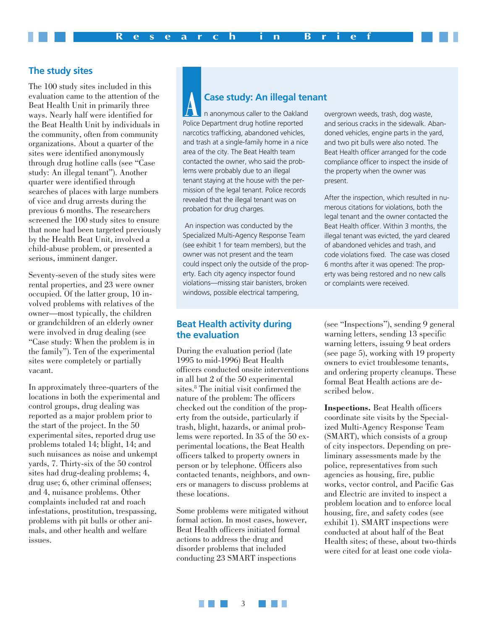#### **The study sites**

The 100 study sites included in this evaluation came to the attention of the Beat Health Unit in primarily three ways. Nearly half were identified for the Beat Health Unit by individuals in the community, often from community organizations. About a quarter of the sites were identified anonymously through drug hotline calls (see "Case study: An illegal tenant"). Another quarter were identified through searches of places with large numbers of vice and drug arrests during the previous 6 months. The researchers screened the 100 study sites to ensure that none had been targeted previously by the Health Beat Unit, involved a child-abuse problem, or presented a serious, imminent danger.

Seventy-seven of the study sites were rental properties, and 23 were owner occupied. Of the latter group, 10 involved problems with relatives of the owner—most typically, the children or grandchildren of an elderly owner were involved in drug dealing (see "Case study: When the problem is in the family"). Ten of the experimental sites were completely or partially vacant.

In approximately three-quarters of the locations in both the experimental and control groups, drug dealing was reported as a major problem prior to the start of the project. In the 50 experimental sites, reported drug use problems totaled 14; blight, 14; and such nuisances as noise and unkempt yards, 7. Thirty-six of the 50 control sites had drug-dealing problems; 4, drug use; 6, other criminal offenses; and 4, nuisance problems. Other complaints included rat and roach infestations, prostitution, trespassing, problems with pit bulls or other animals, and other health and welfare issues.

### **Case study: An illegal tenant**

n anonymous caller to the Oakland Police Department drug hotline reported narcotics trafficking, abandoned vehicles, and trash at a single-family home in a nice area of the city. The Beat Health team contacted the owner, who said the problems were probably due to an illegal tenant staying at the house with the permission of the legal tenant. Police records revealed that the illegal tenant was on probation for drug charges.

 An inspection was conducted by the Specialized Multi-Agency Response Team (see exhibit 1 for team members), but the owner was not present and the team could inspect only the outside of the property. Each city agency inspector found violations—missing stair banisters, broken windows, possible electrical tampering,

#### **Beat Health activity during the evaluation**

During the evaluation period (late 1995 to mid-1996) Beat Health officers conducted onsite interventions in all but 2 of the 50 experimental sites.<sup>8</sup> The initial visit confirmed the nature of the problem: The officers checked out the condition of the property from the outside, particularly if trash, blight, hazards, or animal problems were reported. In 35 of the 50 experimental locations, the Beat Health officers talked to property owners in person or by telephone. Officers also contacted tenants, neighbors, and owners or managers to discuss problems at these locations.

Some problems were mitigated without formal action. In most cases, however, Beat Health officers initiated formal actions to address the drug and disorder problems that included conducting 23 SMART inspections

overgrown weeds, trash, dog waste, and serious cracks in the sidewalk. Abandoned vehicles, engine parts in the yard, and two pit bulls were also noted. The Beat Health officer arranged for the code compliance officer to inspect the inside of the property when the owner was present.

After the inspection, which resulted in numerous citations for violations, both the legal tenant and the owner contacted the Beat Health officer. Within 3 months, the illegal tenant was evicted, the yard cleared of abandoned vehicles and trash, and code violations fixed. The case was closed 6 months after it was opened: The property was being restored and no new calls or complaints were received.

(see "Inspections"), sending 9 general warning letters, sending 13 specific warning letters, issuing 9 beat orders (see page 5), working with 19 property owners to evict troublesome tenants, and ordering property cleanups. These formal Beat Health actions are described below.

**Inspections.** Beat Health officers coordinate site visits by the Specialized Multi-Agency Response Team (SMART), which consists of a group of city inspectors. Depending on preliminary assessments made by the police, representatives from such agencies as housing, fire, public works, vector control, and Pacific Gas and Electric are invited to inspect a problem location and to enforce local housing, fire, and safety codes (see exhibit 1). SMART inspections were conducted at about half of the Beat Health sites; of these, about two-thirds were cited for at least one code viola-

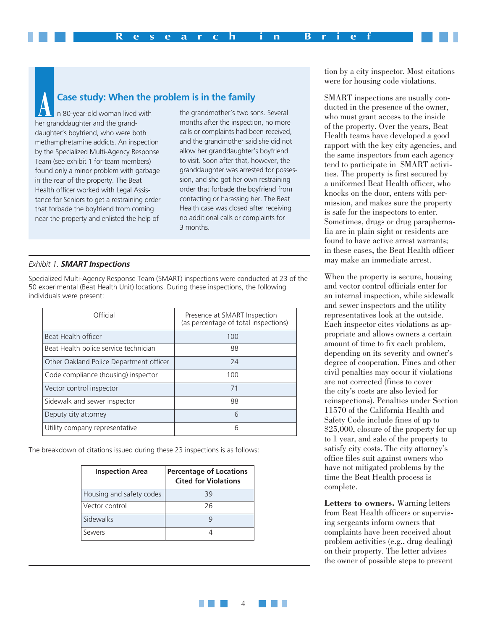#### **Case study: When the problem is in the family**

n 80-year-old woman lived with her granddaughter and the granddaughter's boyfriend, who were both methamphetamine addicts. An inspection by the Specialized Multi-Agency Response Team (see exhibit 1 for team members) found only a minor problem with garbage in the rear of the property. The Beat Health officer worked with Legal Assistance for Seniors to get a restraining order that forbade the boyfriend from coming near the property and enlisted the help of

the grandmother's two sons. Several months after the inspection, no more calls or complaints had been received, and the grandmother said she did not allow her granddaughter's boyfriend to visit. Soon after that, however, the granddaughter was arrested for possession, and she got her own restraining order that forbade the boyfriend from contacting or harassing her. The Beat Health case was closed after receiving no additional calls or complaints for 3 months.

4

#### *Exhibit 1. SMART Inspections*

Specialized Multi-Agency Response Team (SMART) inspections were conducted at 23 of the 50 experimental (Beat Health Unit) locations. During these inspections, the following individuals were present:

| Official                                | Presence at SMART Inspection<br>(as percentage of total inspections) |
|-----------------------------------------|----------------------------------------------------------------------|
| Beat Health officer                     | 100                                                                  |
| Beat Health police service technician   | 88                                                                   |
| Other Oakland Police Department officer | 24                                                                   |
| Code compliance (housing) inspector     | 100                                                                  |
| Vector control inspector                | 71                                                                   |
| Sidewalk and sewer inspector            | 88                                                                   |
| Deputy city attorney                    | 6                                                                    |
| Utility company representative          | 6                                                                    |

The breakdown of citations issued during these 23 inspections is as follows:

| <b>Inspection Area</b>   | <b>Percentage of Locations</b><br><b>Cited for Violations</b> |
|--------------------------|---------------------------------------------------------------|
| Housing and safety codes | 39                                                            |
| Vector control           | 26                                                            |
| Sidewalks                |                                                               |
| Sewers                   |                                                               |

tion by a city inspector. Most citations were for housing code violations.

SMART inspections are usually conducted in the presence of the owner, who must grant access to the inside of the property. Over the years, Beat Health teams have developed a good rapport with the key city agencies, and the same inspectors from each agency tend to participate in SMART activities. The property is first secured by a uniformed Beat Health officer, who knocks on the door, enters with permission, and makes sure the property is safe for the inspectors to enter. Sometimes, drugs or drug paraphernalia are in plain sight or residents are found to have active arrest warrants; in these cases, the Beat Health officer may make an immediate arrest.

When the property is secure, housing and vector control officials enter for an internal inspection, while sidewalk and sewer inspectors and the utility representatives look at the outside. Each inspector cites violations as appropriate and allows owners a certain amount of time to fix each problem, depending on its severity and owner's degree of cooperation. Fines and other civil penalties may occur if violations are not corrected (fines to cover the city's costs are also levied for reinspections). Penalties under Section 11570 of the California Health and Safety Code include fines of up to \$25,000, closure of the property for up to 1 year, and sale of the property to satisfy city costs. The city attorney's office files suit against owners who have not mitigated problems by the time the Beat Health process is complete.

**Letters to owners.** Warning letters from Beat Health officers or supervising sergeants inform owners that complaints have been received about problem activities (e.g., drug dealing) on their property. The letter advises the owner of possible steps to prevent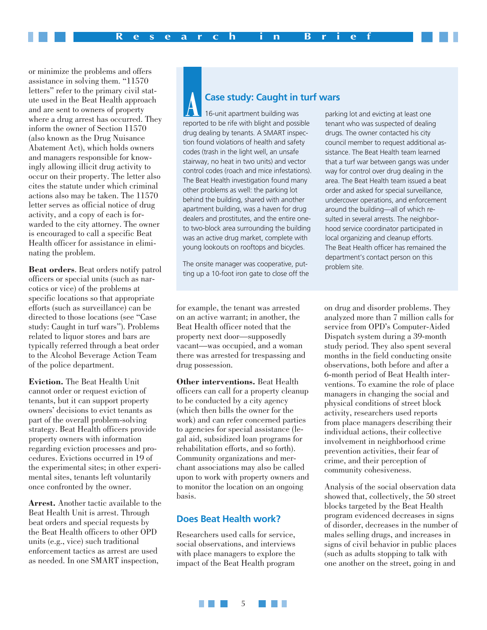or minimize the problems and offers assistance in solving them. "11570 letters" refer to the primary civil statute used in the Beat Health approach and are sent to owners of property where a drug arrest has occurred. They inform the owner of Section 11570 (also known as the Drug Nuisance Abatement Act), which holds owners and managers responsible for knowingly allowing illicit drug activity to occur on their property. The letter also cites the statute under which criminal actions also may be taken. The 11570 letter serves as official notice of drug activity, and a copy of each is forwarded to the city attorney. The owner is encouraged to call a specific Beat Health officer for assistance in eliminating the problem.

**Beat orders**. Beat orders notify patrol officers or special units (such as narcotics or vice) of the problems at specific locations so that appropriate efforts (such as surveillance) can be directed to those locations (see "Case study: Caught in turf wars"). Problems related to liquor stores and bars are typically referred through a beat order to the Alcohol Beverage Action Team of the police department.

**Eviction.** The Beat Health Unit cannot order or request eviction of tenants, but it can support property owners' decisions to evict tenants as part of the overall problem-solving strategy. Beat Health officers provide property owners with information regarding eviction processes and procedures. Evictions occurred in 19 of the experimental sites; in other experimental sites, tenants left voluntarily once confronted by the owner.

**Arrest.** Another tactic available to the Beat Health Unit is arrest. Through beat orders and special requests by the Beat Health officers to other OPD units (e.g., vice) such traditional enforcement tactics as arrest are used as needed. In one SMART inspection,

#### **Case study: Caught in turf wars**

16-unit apartment building was reported to be rife with blight and possible drug dealing by tenants. A SMART inspection found violations of health and safety codes (trash in the light well, an unsafe stairway, no heat in two units) and vector control codes (roach and mice infestations). The Beat Health investigation found many other problems as well: the parking lot behind the building, shared with another apartment building, was a haven for drug dealers and prostitutes, and the entire oneto two-block area surrounding the building was an active drug market, complete with young lookouts on rooftops and bicycles.

The onsite manager was cooperative, putting up a 10-foot iron gate to close off the

for example, the tenant was arrested on an active warrant; in another, the Beat Health officer noted that the property next door—supposedly vacant—was occupied, and a woman there was arrested for trespassing and drug possession.

**Other interventions.** Beat Health officers can call for a property cleanup to be conducted by a city agency (which then bills the owner for the work) and can refer concerned parties to agencies for special assistance (legal aid, subsidized loan programs for rehabilitation efforts, and so forth). Community organizations and merchant associations may also be called upon to work with property owners and to monitor the location on an ongoing basis.

#### **Does Beat Health work?**

Researchers used calls for service, social observations, and interviews with place managers to explore the impact of the Beat Health program

parking lot and evicting at least one tenant who was suspected of dealing drugs. The owner contacted his city council member to request additional assistance. The Beat Health team learned that a turf war between gangs was under way for control over drug dealing in the area. The Beat Health team issued a beat order and asked for special surveillance, undercover operations, and enforcement around the building—all of which resulted in several arrests. The neighborhood service coordinator participated in local organizing and cleanup efforts. The Beat Health officer has remained the department's contact person on this problem site.

on drug and disorder problems. They analyzed more than 7 million calls for service from OPD's Computer-Aided Dispatch system during a 39-month study period. They also spent several months in the field conducting onsite observations, both before and after a 6-month period of Beat Health interventions. To examine the role of place managers in changing the social and physical conditions of street block activity, researchers used reports from place managers describing their individual actions, their collective involvement in neighborhood crime prevention activities, their fear of crime, and their perception of community cohesiveness.

Analysis of the social observation data showed that, collectively, the 50 street blocks targeted by the Beat Health program evidenced decreases in signs of disorder, decreases in the number of males selling drugs, and increases in signs of civil behavior in public places (such as adults stopping to talk with one another on the street, going in and

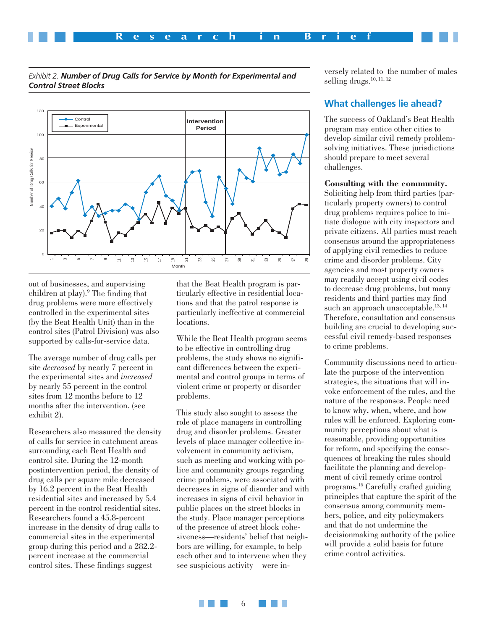



*Exhibit 2. Number of Drug Calls for Service by Month for Experimental and Control Street Blocks*

out of businesses, and supervising children at play).<sup>9</sup> The finding that drug problems were more effectively controlled in the experimental sites (by the Beat Health Unit) than in the control sites (Patrol Division) was also supported by calls-for-service data.

The average number of drug calls per site *decreased* by nearly 7 percent in the experimental sites and *increased* by nearly 55 percent in the control sites from 12 months before to 12 months after the intervention. (see exhibit 2).

Researchers also measured the density of calls for service in catchment areas surrounding each Beat Health and control site. During the 12-month postintervention period, the density of drug calls per square mile decreased by 16.2 percent in the Beat Health residential sites and increased by 5.4 percent in the control residential sites. Researchers found a 45.8-percent increase in the density of drug calls to commercial sites in the experimental group during this period and a 282.2 percent increase at the commercial control sites. These findings suggest

that the Beat Health program is particularly effective in residential locations and that the patrol response is particularly ineffective at commercial locations.

While the Beat Health program seems to be effective in controlling drug problems, the study shows no significant differences between the experimental and control groups in terms of violent crime or property or disorder problems.

This study also sought to assess the role of place managers in controlling drug and disorder problems. Greater levels of place manager collective involvement in community activism, such as meeting and working with police and community groups regarding crime problems, were associated with decreases in signs of disorder and with increases in signs of civil behavior in public places on the street blocks in the study. Place manager perceptions of the presence of street block cohesiveness—residents' belief that neighbors are willing, for example, to help each other and to intervene when they see suspicious activity—were inversely related to the number of males selling drugs. $10, 11, 12$ 

#### **What challenges lie ahead?**

The success of Oakland's Beat Health program may entice other cities to develop similar civil remedy problemsolving initiatives. These jurisdictions should prepare to meet several challenges.

#### **Consulting with the community.**

Soliciting help from third parties (particularly property owners) to control drug problems requires police to initiate dialogue with city inspectors and private citizens. All parties must reach consensus around the appropriateness of applying civil remedies to reduce crime and disorder problems. City agencies and most property owners may readily accept using civil codes to decrease drug problems, but many residents and third parties may find such an approach unacceptable. $13, 14$ Therefore, consultation and consensus building are crucial to developing successful civil remedy-based responses to crime problems.

Community discussions need to articulate the purpose of the intervention strategies, the situations that will invoke enforcement of the rules, and the nature of the responses. People need to know why, when, where, and how rules will be enforced. Exploring community perceptions about what is reasonable, providing opportunities for reform, and specifying the consequences of breaking the rules should facilitate the planning and development of civil remedy crime control programs.15 Carefully crafted guiding principles that capture the spirit of the consensus among community members, police, and city policymakers and that do not undermine the decisionmaking authority of the police will provide a solid basis for future crime control activities.

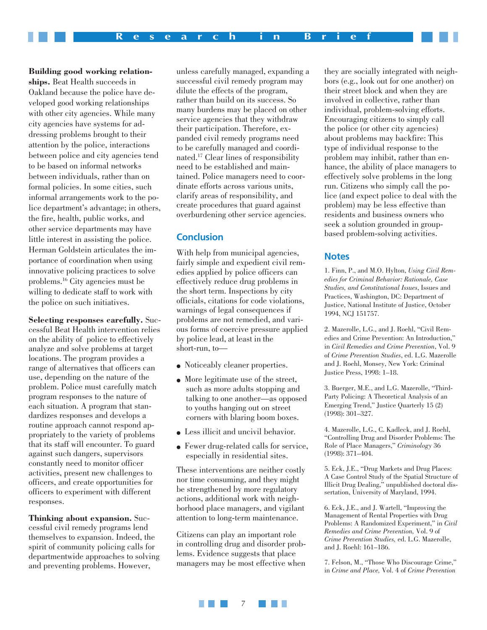**Building good working relationships.** Beat Health succeeds in Oakland because the police have developed good working relationships with other city agencies. While many city agencies have systems for addressing problems brought to their attention by the police, interactions between police and city agencies tend to be based on informal networks between individuals, rather than on formal policies. In some cities, such informal arrangements work to the police department's advantage; in others, the fire, health, public works, and other service departments may have little interest in assisting the police. Herman Goldstein articulates the importance of coordination when using innovative policing practices to solve problems.16 City agencies must be willing to dedicate staff to work with the police on such initiatives.

**Selecting responses carefully.** Successful Beat Health intervention relies on the ability of police to effectively analyze and solve problems at target locations. The program provides a range of alternatives that officers can use, depending on the nature of the problem. Police must carefully match program responses to the nature of each situation. A program that standardizes responses and develops a routine approach cannot respond appropriately to the variety of problems that its staff will encounter. To guard against such dangers, supervisors constantly need to monitor officer activities, present new challenges to officers, and create opportunities for officers to experiment with different responses.

**Thinking about expansion.** Successful civil remedy programs lend themselves to expansion. Indeed, the spirit of community policing calls for departmentwide approaches to solving and preventing problems. However,

unless carefully managed, expanding a successful civil remedy program may dilute the effects of the program, rather than build on its success. So many burdens may be placed on other service agencies that they withdraw their participation. Therefore, expanded civil remedy programs need to be carefully managed and coordinated.17 Clear lines of responsibility need to be established and maintained. Police managers need to coordinate efforts across various units, clarify areas of responsibility, and create procedures that guard against overburdening other service agencies.

#### **Conclusion**

With help from municipal agencies, fairly simple and expedient civil remedies applied by police officers can effectively reduce drug problems in the short term. Inspections by city officials, citations for code violations, warnings of legal consequences if problems are not remedied, and various forms of coercive pressure applied by police lead, at least in the short-run, to—

- Noticeably cleaner properties.
- More legitimate use of the street, such as more adults stopping and talking to one another—as opposed to youths hanging out on street corners with blaring boom boxes.
- Less illicit and uncivil behavior.
- Fewer drug-related calls for service, especially in residential sites.

These interventions are neither costly nor time consuming, and they might be strengthened by more regulatory actions, additional work with neighborhood place managers, and vigilant attention to long-term maintenance.

Citizens can play an important role in controlling drug and disorder problems. Evidence suggests that place managers may be most effective when

they are socially integrated with neighbors (e.g., look out for one another) on their street block and when they are involved in collective, rather than individual, problem-solving efforts. Encouraging citizens to simply call the police (or other city agencies) about problems may backfire: This type of individual response to the problem may inhibit, rather than enhance, the ability of place managers to effectively solve problems in the long run. Citizens who simply call the police (and expect police to deal with the problem) may be less effective than residents and business owners who seek a solution grounded in groupbased problem-solving activities.

#### **Notes**

1. Finn, P., and M.O. Hylton, *Using Civil Remedies for Criminal Behavior: Rationale, Case Studies, and Constitutional Issues*, Issues and Practices, Washington, DC: Department of Justice, National Institute of Justice, October 1994, NCJ 151757.

2. Mazerolle, L.G., and J. Roehl, "Civil Remedies and Crime Prevention: An Introduction," in *Civil Remedies and Crime Prevention*, Vol. 9 of *Crime Prevention Studies*, ed. L.G. Mazerolle and J. Roehl, Monsey, New York: Criminal Justice Press, 1998: 1–18.

3. Buerger, M.E., and L.G. Mazerolle, "Third-Party Policing: A Theoretical Analysis of an Emerging Trend," Justice Quarterly 15 (2) (1998): 301–327.

4. Mazerolle, L.G., C. Kadleck, and J. Roehl, "Controlling Drug and Disorder Problems: The Role of Place Managers," *Criminology* 36 (1998): 371–404.

5. Eck, J.E., "Drug Markets and Drug Places: A Case Control Study of the Spatial Structure of Illicit Drug Dealing," unpublished doctoral dissertation, University of Maryland, 1994.

6. Eck, J.E., and J. Wartell, "Improving the Management of Rental Properties with Drug Problems: A Randomized Experiment," in *Civil Remedies and Crime Prevention,* Vol. 9 of *Crime Prevention Studies,* ed. L.G. Mazerolle, and J. Roehl: 161–186.

7. Felson, M., "Those Who Discourage Crime," in *Crime and Place,* Vol. 4 of *Crime Prevention*

**The Co** 7